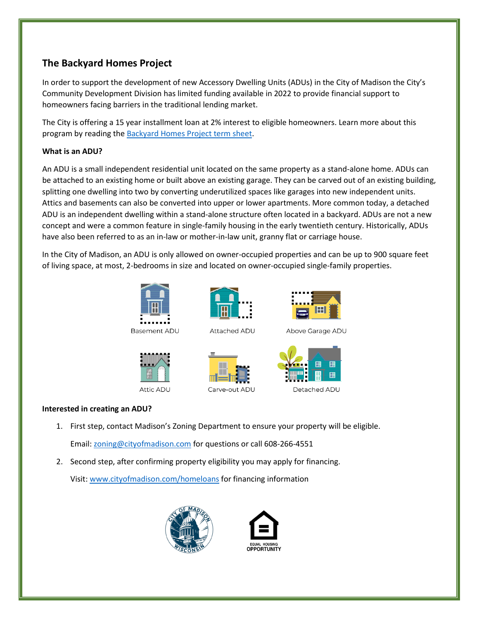# **The Backyard Homes Project**

In order to support the development of new Accessory Dwelling Units (ADUs) in the City of Madison the City's Community Development Division has limited funding available in 2022 to provide financial support to homeowners facing barriers in the traditional lending market.

The City is offering a 15 year installment loan at 2% interest to eligible homeowners. Learn more about this program by reading the [Backyard Homes Project term sheet.](https://www.cityofmadison.com/dpced/economicdevelopment/documents/ADU%20Financing%20Term%20Sheet%20Final.pdf)

# **What is an ADU?**

An ADU is a small independent residential unit located on the same property as a stand-alone home. ADUs can be attached to an existing home or built above an existing garage. They can be carved out of an existing building, splitting one dwelling into two by converting underutilized spaces like garages into new independent units. Attics and basements can also be converted into upper or lower apartments. More common today, a detached ADU is an independent dwelling within a stand-alone structure often located in a backyard. ADUs are not a new concept and were a common feature in single-family housing in the early twentieth century. Historically, ADUs have also been referred to as an in-law or mother-in-law unit, granny flat or carriage house.

In the City of Madison, an ADU is only allowed on owner-occupied properties and can be up to 900 square feet of living space, at most, 2-bedrooms in size and located on owner-occupied single-family properties.



Basement ADU





Carve-out ADU



Detached ADU

Above Garage ADU

# **Interested in creating an ADU?**

- 1. First step, contact Madison's Zoning Department to ensure your property will be eligible. Email: [zoning@cityofmadison.com](mailto:zoning@cityofmadison.com) for questions or call 608-266-4551
- 2. Second step, after confirming property eligibility you may apply for financing. Visit[: www.cityofmadison.com/homeloans](http://www.cityofmadison.com/homeloans) for financing information